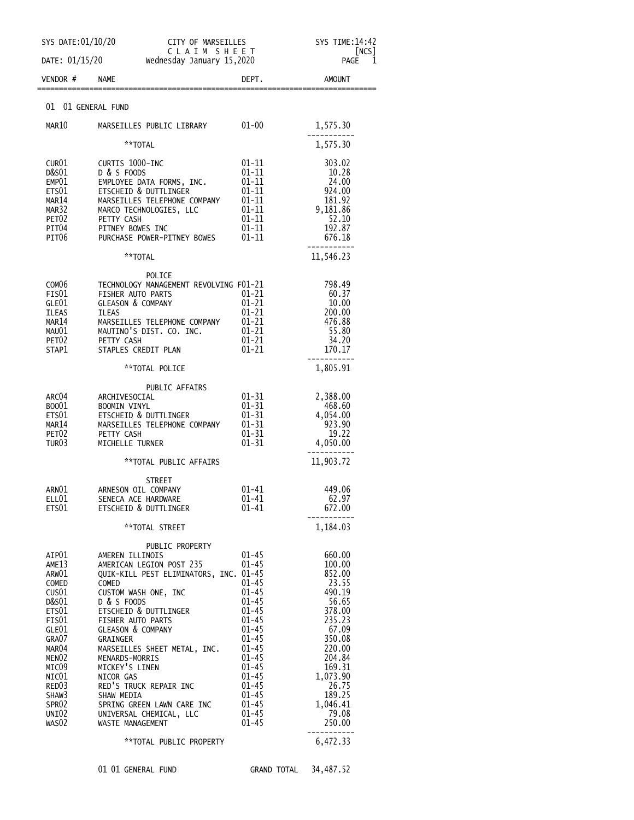| SYS DATE: 01/10/20<br>CITY OF MARSEILLES                                                                                                                                                                                            |                                                                                                                                                                                                                                                                                                                                                                                                                                                          |                                                                                                                                                                                                                                        | SYS TIME:14:42                                                                                                                                                                            |  |
|-------------------------------------------------------------------------------------------------------------------------------------------------------------------------------------------------------------------------------------|----------------------------------------------------------------------------------------------------------------------------------------------------------------------------------------------------------------------------------------------------------------------------------------------------------------------------------------------------------------------------------------------------------------------------------------------------------|----------------------------------------------------------------------------------------------------------------------------------------------------------------------------------------------------------------------------------------|-------------------------------------------------------------------------------------------------------------------------------------------------------------------------------------------|--|
| CLAIM SHEET<br>DATE: 01/15/20<br>Wednesday January 15,2020                                                                                                                                                                          |                                                                                                                                                                                                                                                                                                                                                                                                                                                          |                                                                                                                                                                                                                                        | NCS <br>1<br>PAGE                                                                                                                                                                         |  |
| VENDOR #                                                                                                                                                                                                                            | <b>NAME</b>                                                                                                                                                                                                                                                                                                                                                                                                                                              | DEPT.                                                                                                                                                                                                                                  | <b>AMOUNT</b>                                                                                                                                                                             |  |
| 01                                                                                                                                                                                                                                  | 01 GENERAL FUND                                                                                                                                                                                                                                                                                                                                                                                                                                          |                                                                                                                                                                                                                                        |                                                                                                                                                                                           |  |
| MAR10                                                                                                                                                                                                                               | MARSEILLES PUBLIC LIBRARY                                                                                                                                                                                                                                                                                                                                                                                                                                | $01 - 00$                                                                                                                                                                                                                              | 1,575.30                                                                                                                                                                                  |  |
|                                                                                                                                                                                                                                     | **TOTAL                                                                                                                                                                                                                                                                                                                                                                                                                                                  |                                                                                                                                                                                                                                        | 1,575.30                                                                                                                                                                                  |  |
| CUR01<br>D&S01<br>EMP01<br>ETS01<br>MAR14<br>MAR32<br>PET <sub>02</sub><br>PIT04<br>PIT06                                                                                                                                           | CURTIS 1000-INC<br>D & S FOODS<br>EMPLOYEE DATA FORMS, INC.<br>ETSCHEID & DUTTLINGER<br>MARSEILLES TELEPHONE COMPANY<br>MARCO TECHNOLOGIES, LLC<br>PETTY CASH<br>PITNEY BOWES INC<br>PURCHASE POWER-PITNEY BOWES                                                                                                                                                                                                                                         | 01-11<br>$01 - 11$<br>$01 - 11$<br>01-11<br>$01 - 11$<br>$01 - 11$<br>$01 - 11$<br>$01 - 11$<br>$01 - 11$                                                                                                                              | 303.02<br>10.28<br>24.00<br>924.00<br>181.92<br>9,181.86<br>52.10<br>192.87<br>676.18                                                                                                     |  |
|                                                                                                                                                                                                                                     | **TOTAL                                                                                                                                                                                                                                                                                                                                                                                                                                                  |                                                                                                                                                                                                                                        | 11,546.23                                                                                                                                                                                 |  |
| COM <sub>06</sub><br>FIS01<br>GLE01<br><b>ILEAS</b><br>MAR14<br>MAU01<br>PET <sub>02</sub><br>STAP1                                                                                                                                 | POLICE<br>TECHNOLOGY MANAGEMENT REVOLVING F01-21<br><b>FISHER AUTO PARTS</b><br><b>GLEASON &amp; COMPANY</b><br><b>ILEAS</b><br>MARSEILLES TELEPHONE COMPANY<br>MAUTINO'S DIST. CO. INC.<br>PETTY CASH<br>STAPLES CREDIT PLAN                                                                                                                                                                                                                            | 01-21<br>$01 - 21$<br>$01 - 21$<br>$01 - 21$<br>$01 - 21$<br>01-21<br>01-21                                                                                                                                                            | 798.49<br>60.37<br>10.00<br>200.00<br>476.88<br>55.80<br>34.20<br>170.17                                                                                                                  |  |
|                                                                                                                                                                                                                                     | **TOTAL POLICE                                                                                                                                                                                                                                                                                                                                                                                                                                           |                                                                                                                                                                                                                                        | 1,805.91                                                                                                                                                                                  |  |
| ARC04<br>B0001<br>ETS01<br>MAR14<br>PET <sub>02</sub><br>TUR <sub>03</sub>                                                                                                                                                          | PUBLIC AFFAIRS<br>ARCHIVESOCIAL<br><b>BOOMIN VINYL</b><br>ETSCHEID & DUTTLINGER<br>MARSEILLES TELEPHONE COMPANY<br>PETTY CASH<br>MICHELLE TURNER                                                                                                                                                                                                                                                                                                         | $01 - 31$<br>$01 - 31$<br>$01 - 31$<br>$01 - 31$<br>$01 - 31$<br>$01 - 31$                                                                                                                                                             | 2,388.00<br>468.60<br>4,054.00<br>923.90<br>19.22<br>4,050.00                                                                                                                             |  |
|                                                                                                                                                                                                                                     | **TOTAL PUBLIC AFFAIRS                                                                                                                                                                                                                                                                                                                                                                                                                                   |                                                                                                                                                                                                                                        | 11,903.72                                                                                                                                                                                 |  |
| ARN01<br>ELL01<br>ETS01                                                                                                                                                                                                             | STREET<br>ARNESON OIL COMPANY<br>SENECA ACE HARDWARE<br>ETSCHEID & DUTTLINGER<br>**TOTAL STREET                                                                                                                                                                                                                                                                                                                                                          | 01-41<br>$01 - 41$<br>$01 - 41$                                                                                                                                                                                                        | 449.06<br>62.97<br>672.00<br>1,184.03                                                                                                                                                     |  |
| AIP01<br>AME13<br>ARW01<br>COMED<br>CUS <sub>01</sub><br>D&S01<br>ETS01<br>FIS01<br>GLE01<br>GRA07<br>MAR04<br>MEN <sub>02</sub><br>MICO9<br>NIC01<br>RED <sub>03</sub><br>SHAW3<br>SPR <sub>02</sub><br>UNI <sub>02</sub><br>WAS02 | PUBLIC PROPERTY<br>AMEREN ILLINOIS<br>AMERICAN LEGION POST 235<br>QUIK-KILL PEST ELIMINATORS, INC. 01-45<br>COMED<br>CUSTOM WASH ONE, INC<br>D & S FOODS<br>ETSCHEID & DUTTLINGER<br>FISHER AUTO PARTS<br><b>GLEASON &amp; COMPANY</b><br>GRAINGER<br>MARSEILLES SHEET METAL, INC.<br>MENARDS-MORRIS<br>MICKEY'S LINEN<br>NICOR GAS<br>RED'S TRUCK REPAIR INC<br>SHAW MEDIA<br>SPRING GREEN LAWN CARE INC<br>UNIVERSAL CHEMICAL, LLC<br>WASTE MANAGEMENT | $01 - 45$<br>$01 - 45$<br>$01 - 45$<br>$01 - 45$<br>$01 - 45$<br>$01 - 45$<br>$01 - 45$<br>$01 - 45$<br>$01 - 45$<br>$01 - 45$<br>$01 - 45$<br>$01 - 45$<br>$01 - 45$<br>$01 - 45$<br>$01 - 45$<br>$01 - 45$<br>$01 - 45$<br>$01 - 45$ | 660.00<br>100.00<br>852.00<br>23.55<br>490.19<br>56.65<br>378.00<br>235.23<br>67.09<br>350.08<br>220.00<br>204.84<br>169.31<br>1,073.90<br>26.75<br>189.25<br>1,046.41<br>79.08<br>250.00 |  |
|                                                                                                                                                                                                                                     | **TOTAL PUBLIC PROPERTY                                                                                                                                                                                                                                                                                                                                                                                                                                  |                                                                                                                                                                                                                                        | 6,472.33                                                                                                                                                                                  |  |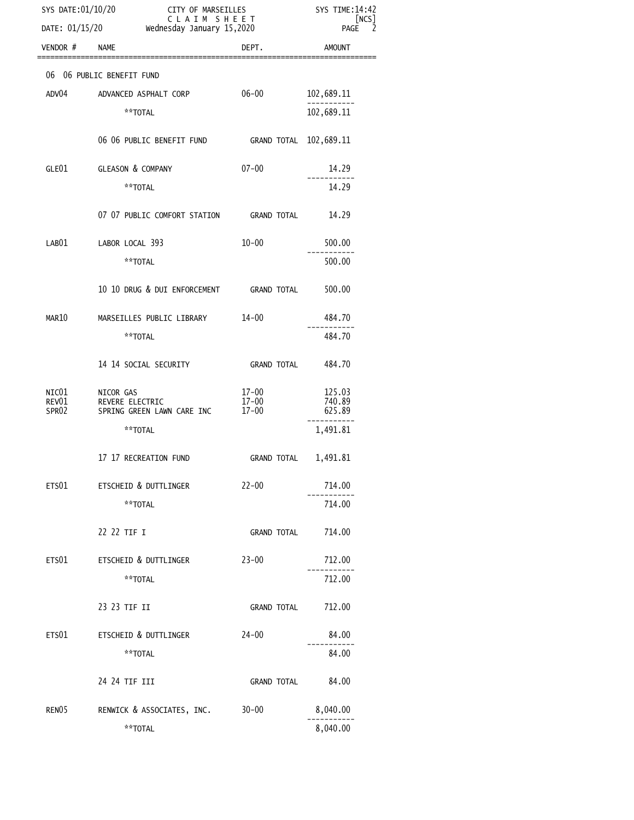|                   | CITY OF MARSEILLES<br>C L A I M  S H E E T<br>esday January 15,2020<br>SYS DATE:01/10/20<br>DATE: 01/15/20 Wednesday January 15,2020 |                      | SYS TIME: 14:42<br>[NCS]<br>$\mathcal{P}$<br><b>PAGE</b> |  |
|-------------------|--------------------------------------------------------------------------------------------------------------------------------------|----------------------|----------------------------------------------------------|--|
| VENDOR # NAME     |                                                                                                                                      | DEPT.                | <b>AMOUNT</b>                                            |  |
|                   | 06 06 PUBLIC BENEFIT FUND                                                                                                            |                      |                                                          |  |
| ADV04             | ADVANCED ASPHALT CORP                                                                                                                | 06-00                | 102,689.11                                               |  |
|                   | **TOTAL                                                                                                                              |                      | 102,689.11                                               |  |
|                   | 06 06 PUBLIC BENEFIT FUND GRAND TOTAL 102,689.11                                                                                     |                      |                                                          |  |
|                   | GLE01 GLEASON & COMPANY                                                                                                              | $07 - 00$            | 14.29                                                    |  |
|                   | **TOTAL                                                                                                                              |                      | 14.29                                                    |  |
|                   | 07 07 PUBLIC COMFORT STATION GRAND TOTAL                                                                                             |                      | 14.29                                                    |  |
|                   | LAB01 LABOR LOCAL 393                                                                                                                | $10 - 00$            | 500.00                                                   |  |
|                   | **TOTAL                                                                                                                              |                      | 500.00                                                   |  |
|                   | 10 10 DRUG & DUI ENFORCEMENT GRAND TOTAL                                                                                             |                      | 500.00                                                   |  |
| MAR10             | MARSEILLES PUBLIC LIBRARY 14-00                                                                                                      |                      | 484.70                                                   |  |
|                   | **TOTAL                                                                                                                              |                      | 484.70                                                   |  |
|                   | 14 14 SOCIAL SECURITY                                                                                                                | <b>GRAND TOTAL</b>   | 484.70                                                   |  |
| NIC $01$<br>REV01 | NICOR GAS<br>REVERE ELECTRIC                                                                                                         | 17-00<br>$17 - 00$   | 125.03<br>740.89                                         |  |
| SPR02             | SPRING GREEN LAWN CARE INC                                                                                                           | $17 - 00$            | 625.89                                                   |  |
|                   | **TOTAL                                                                                                                              |                      | 1,491.81                                                 |  |
|                   | 17 17 RECREATION FUND                                                                                                                | GRAND TOTAL 1,491.81 |                                                          |  |
| ETS01             | ETSCHEID & DUTTLINGER                                                                                                                | $22 - 00$            | 714.00                                                   |  |
|                   | **TOTAL                                                                                                                              |                      | 714.00                                                   |  |
|                   | 22 22 TIF I                                                                                                                          | <b>GRAND TOTAL</b>   | 714.00                                                   |  |
| ETS01             | ETSCHEID & DUTTLINGER                                                                                                                | $23 - 00$            | 712.00                                                   |  |
|                   | **TOTAL                                                                                                                              |                      | 712.00                                                   |  |
|                   | 23 23 TIF II                                                                                                                         | <b>GRAND TOTAL</b>   | 712.00                                                   |  |
| ETS01             | ETSCHEID & DUTTLINGER                                                                                                                | $24 - 00$            | 84.00                                                    |  |
|                   | **TOTAL                                                                                                                              |                      | 84.00                                                    |  |
|                   | 24 24 TIF III                                                                                                                        | <b>GRAND TOTAL</b>   | 84.00                                                    |  |
| RENO <sub>5</sub> | RENWICK & ASSOCIATES, INC.                                                                                                           | $30 - 00$            | 8,040.00                                                 |  |
|                   | **TOTAL                                                                                                                              |                      | 8,040.00                                                 |  |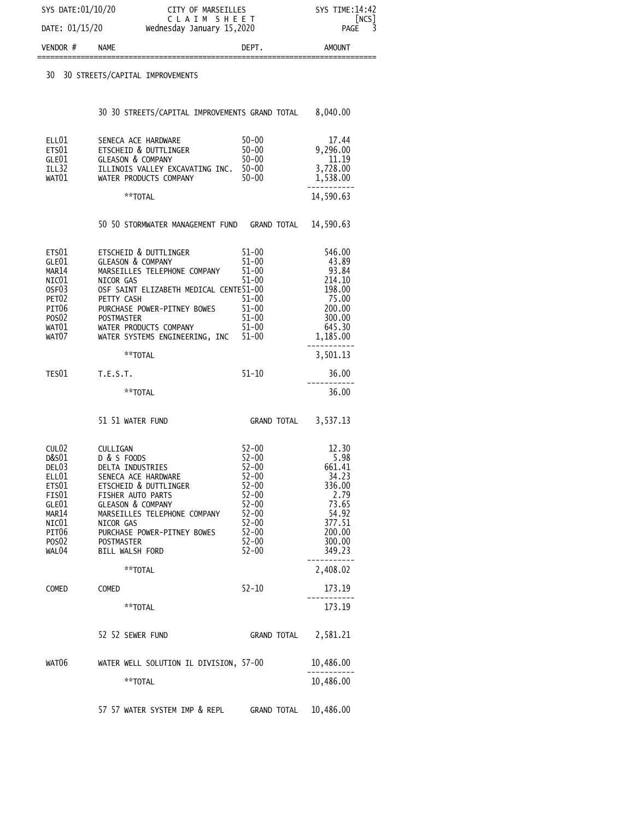| SYS DATE:01/10/20       | CITY OF MARSEILLES<br>CLAIM SHEET | SYS TIME: 14:42<br>[NCS] |
|-------------------------|-----------------------------------|--------------------------|
| DATE: 01/15/20          | Wednesday January 15,2020         | PAGE 3                   |
| VENDOR #<br><b>NAME</b> | DEPT.                             | <b>AMOUNT</b>            |

==============================================================================

30 30 STREETS/CAPITAL IMPROVEMENTS

|                                                                                       | 30 30 STREETS/CAPITAL IMPROVEMENTS GRAND TOTAL 8,040.00                                                                                                                                                                                                                                                                                                                                                         |                                                                                                                                   |                                                                                                                             |
|---------------------------------------------------------------------------------------|-----------------------------------------------------------------------------------------------------------------------------------------------------------------------------------------------------------------------------------------------------------------------------------------------------------------------------------------------------------------------------------------------------------------|-----------------------------------------------------------------------------------------------------------------------------------|-----------------------------------------------------------------------------------------------------------------------------|
| ELL01<br>$ETU1$<br>ETS01<br>GLE01<br>ILL32<br>WAT01                                   | SENECA ACE HARDWARE<br>ETSCHEID & DUTTLINGER<br>GLEASON & COMPANY<br>ILLINOIS VALLEY EXCAVATING INC. 50-00<br>WATER PRODUCTS COMPANY 50-00                                                                                                                                                                                                                                                                      | 50-00 17.44<br>50-00 9,296.00                                                                                                     | 17.44<br>11.19<br>3,728.00<br>1,538.00                                                                                      |
|                                                                                       | **TOTAL                                                                                                                                                                                                                                                                                                                                                                                                         |                                                                                                                                   | 14,590.63                                                                                                                   |
|                                                                                       | 50 50 STORMWATER MANAGEMENT FUND GRAND TOTAL 14,590.63                                                                                                                                                                                                                                                                                                                                                          |                                                                                                                                   |                                                                                                                             |
| ETS01<br>GLE01<br>MAR14<br>NIC $01$<br>OSF03<br>PET <sub>02</sub><br>PIT06            | ETSCHEID & DUTTLINGER<br>GLEASON & COMPANY<br>SLEASUN & CUMPANY<br>MARSEILLES TELEPHONE COMPANY 51-00<br>NICOR GAS<br>OSF SAINT ELIZABETH MEDICAL CENTES1-00<br>PETTY CASH<br>PETTY CASH<br>DIPCHASE POWER-PITNEY POWES 51-00<br>DIPCHASE POWER-PITNEY POWES 51-00<br>PURCHASE POWER-PITNEY BOWES<br>POSO2 POSTMASTER 51-00<br>WATO1 WATER PRODUCTS COMPANY 51-00<br>WATO7 WATER SYSTEMS ENGINEERING, INC 51-00 | $51 - 00$<br>$51 - 00$<br>$51 - 00$<br>$51 - 00$<br>$51 - 00$                                                                     | 546.00<br>43.89<br>93.84<br>214.10<br>198.00<br>75.00<br>200,00<br>300,00<br>645.30<br>1,185.00                             |
|                                                                                       | **TOTAL                                                                                                                                                                                                                                                                                                                                                                                                         |                                                                                                                                   | 3,501.13                                                                                                                    |
| TES01 T.E.S.T.                                                                        |                                                                                                                                                                                                                                                                                                                                                                                                                 | $51 - 10$                                                                                                                         | 36.00                                                                                                                       |
|                                                                                       | **TOTAL                                                                                                                                                                                                                                                                                                                                                                                                         |                                                                                                                                   | 36.00                                                                                                                       |
|                                                                                       | 51 51 WATER FUND                                                                                                                                                                                                                                                                                                                                                                                                | <b>GRAND TOTAL</b>                                                                                                                | 3,537.13                                                                                                                    |
| CUL02<br>յսւ<br>D&S01<br>DEL03<br>"Կ.L01<br>"Վ<br>GLE01<br>MAR14<br>NIC $01$<br>WAL04 | CULLIGAN<br>D & S FOODS<br>DELTA INDUSTRIES<br>SENECA ACE HARDWARE<br>ETSCHEID & DUTTLINGER<br>FISHER AUTO PARTS<br><b>GLEASON &amp; COMPANY</b><br>MARSEILLES TELEPHONE COMPANY<br>NICOR GAS<br>PITO6<br>PITO6 PURCHASE POWER-PITNEY BOWES<br>POSO2 POSTMASTER<br><b>BILL WALSH FORD</b>                                                                                                                       | $52 - 00$<br>$52 - 00$<br>32-00<br>52-00<br>52-00<br>52-00<br>52-00<br>52-00<br>52-00<br>$52 - 00$<br>52-00<br>52-00<br>$52 - 00$ | 12.30<br>5.98<br>661.41<br>34.23<br>336.00<br>2.79<br>73.65<br>54.92<br>377.51<br>200.00<br>300.00<br>349.23<br>----------- |
|                                                                                       | **TOTAL                                                                                                                                                                                                                                                                                                                                                                                                         |                                                                                                                                   | 2,408.02                                                                                                                    |
| COMED                                                                                 | COMED                                                                                                                                                                                                                                                                                                                                                                                                           | $52 - 10$                                                                                                                         | 173.19                                                                                                                      |
|                                                                                       | **TOTAL                                                                                                                                                                                                                                                                                                                                                                                                         |                                                                                                                                   | 173.19                                                                                                                      |

|       | 52 52 SEWER FUND                       | GRAND TOTAL | 2.581.21  |
|-------|----------------------------------------|-------------|-----------|
| WAT06 | WATER WELL SOLUTION IL DIVISION, 57-00 |             | 10,486.00 |
|       | **⊤OTAI                                |             | 10,486,00 |

57 57 WATER SYSTEM IMP & REPL GRAND TOTAL 10,486.00